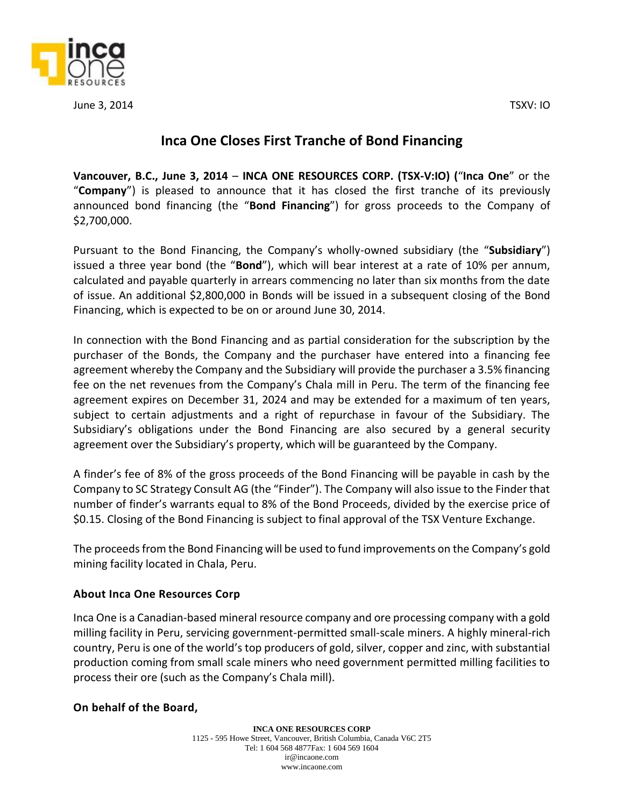

June 3, 2014 TSXV: IO

## **Inca One Closes First Tranche of Bond Financing**

**Vancouver, B.C., June 3, 2014** – **INCA ONE RESOURCES CORP. (TSX‐V:IO) (**"**Inca One**" or the "**Company**") is pleased to announce that it has closed the first tranche of its previously announced bond financing (the "**Bond Financing**") for gross proceeds to the Company of \$2,700,000.

Pursuant to the Bond Financing, the Company's wholly-owned subsidiary (the "**Subsidiary**") issued a three year bond (the "**Bond**"), which will bear interest at a rate of 10% per annum, calculated and payable quarterly in arrears commencing no later than six months from the date of issue. An additional \$2,800,000 in Bonds will be issued in a subsequent closing of the Bond Financing, which is expected to be on or around June 30, 2014.

In connection with the Bond Financing and as partial consideration for the subscription by the purchaser of the Bonds, the Company and the purchaser have entered into a financing fee agreement whereby the Company and the Subsidiary will provide the purchaser a 3.5% financing fee on the net revenues from the Company's Chala mill in Peru. The term of the financing fee agreement expires on December 31, 2024 and may be extended for a maximum of ten years, subject to certain adjustments and a right of repurchase in favour of the Subsidiary. The Subsidiary's obligations under the Bond Financing are also secured by a general security agreement over the Subsidiary's property, which will be guaranteed by the Company.

A finder's fee of 8% of the gross proceeds of the Bond Financing will be payable in cash by the Company to SC Strategy Consult AG (the "Finder"). The Company will also issue to the Finder that number of finder's warrants equal to 8% of the Bond Proceeds, divided by the exercise price of \$0.15. Closing of the Bond Financing is subject to final approval of the TSX Venture Exchange.

The proceeds from the Bond Financing will be used to fund improvements on the Company's gold mining facility located in Chala, Peru.

## **About Inca One Resources Corp**

Inca One is a Canadian-based mineral resource company and ore processing company with a gold milling facility in Peru, servicing government-permitted small-scale miners. A highly mineral-rich country, Peru is one of the world's top producers of gold, silver, copper and zinc, with substantial production coming from small scale miners who need government permitted milling facilities to process their ore (such as the Company's Chala mill).

## **On behalf of the Board,**